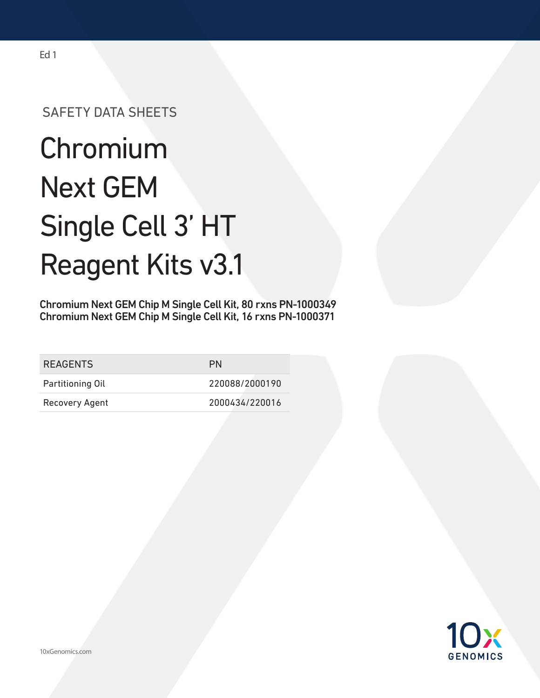# SAFETY DATA SHEETS

# **Chromium** Next GEM Single Cell 3' HT Reagent Kits v3.1

Chromium Next GEM Chip M Single Cell Kit, 80 rxns PN-1000349 Chromium Next GEM Chip M Single Cell Kit, 16 rxns PN-1000371

| <b>REAGENTS</b>  | PN             |
|------------------|----------------|
| Partitioning Oil | 220088/2000190 |
| Recovery Agent   | 2000434/220016 |

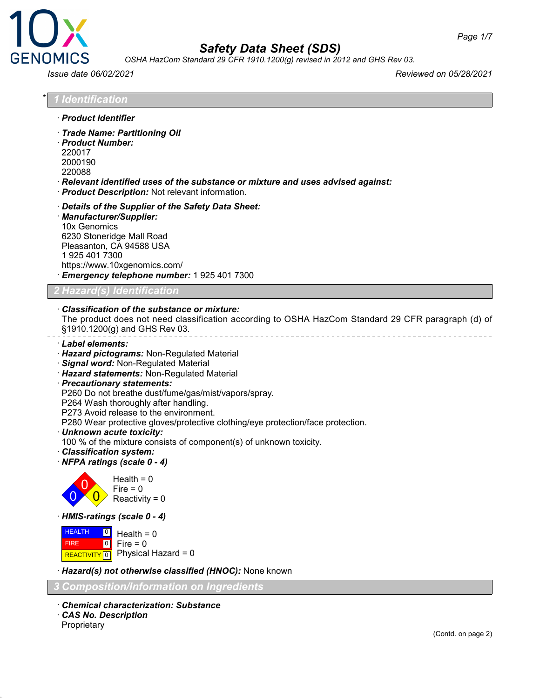



*OSHA HazCom Standard 29 CFR 1910.1200(g) revised in 2012 and GHS Rev 03.*

*Issue date 06/02/2021 Reviewed on 05/28/2021*

| · Product Identifier                                                                                                                                                                                                                                                                                                                                                                                                                                                                                                                                                              |
|-----------------------------------------------------------------------------------------------------------------------------------------------------------------------------------------------------------------------------------------------------------------------------------------------------------------------------------------------------------------------------------------------------------------------------------------------------------------------------------------------------------------------------------------------------------------------------------|
| · Trade Name: Partitioning Oil<br>· Product Number:<br>220017<br>2000190<br>220088                                                                                                                                                                                                                                                                                                                                                                                                                                                                                                |
| $\cdot$ Relevant identified uses of the substance or mixture and uses advised against:<br>· Product Description: Not relevant information.                                                                                                                                                                                                                                                                                                                                                                                                                                        |
| Details of the Supplier of the Safety Data Sheet:<br>· Manufacturer/Supplier:<br>10x Genomics<br>6230 Stoneridge Mall Road<br>Pleasanton, CA 94588 USA<br>1925 401 7300<br>https://www.10xgenomics.com/<br>Emergency telephone number: 1 925 401 7300                                                                                                                                                                                                                                                                                                                             |
| <b>2 Hazard(s) Identification</b>                                                                                                                                                                                                                                                                                                                                                                                                                                                                                                                                                 |
| Classification of the substance or mixture:<br>The product does not need classification according to OSHA HazCom Standard 29 CFR paragraph (d) of<br>§1910.1200(g) and GHS Rev 03.                                                                                                                                                                                                                                                                                                                                                                                                |
| · Label elements:<br>· Hazard pictograms: Non-Regulated Material<br>· Signal word: Non-Regulated Material<br>· Hazard statements: Non-Regulated Material<br>· Precautionary statements:<br>P260 Do not breathe dust/fume/gas/mist/vapors/spray.<br>P264 Wash thoroughly after handling.<br>P273 Avoid release to the environment.<br>P280 Wear protective gloves/protective clothing/eye protection/face protection.<br>· Unknown acute toxicity:<br>100 % of the mixture consists of component(s) of unknown toxicity.<br>· Classification system:<br>NFPA ratings (scale 0 - 4) |
| Health = $0$<br>Fire $= 0$<br>Reactivity = $0$                                                                                                                                                                                                                                                                                                                                                                                                                                                                                                                                    |
| HMIS-ratings (scale 0 - 4)                                                                                                                                                                                                                                                                                                                                                                                                                                                                                                                                                        |
| <b>HEALTH</b><br>$\vert 0 \vert$<br>Health = $0$<br>$\boxed{0}$<br>Fire = $0$<br><b>FIRE</b><br>Physical Hazard = 0<br><b>REACTIVITY</b> 0                                                                                                                                                                                                                                                                                                                                                                                                                                        |
| · Hazard(s) not otherwise classified (HNOC): None known                                                                                                                                                                                                                                                                                                                                                                                                                                                                                                                           |
| <b>Composition/Information on Ingredients</b>                                                                                                                                                                                                                                                                                                                                                                                                                                                                                                                                     |
| <b>Chemical characterization: Substance</b><br>CAS No. Description<br>Proprietary                                                                                                                                                                                                                                                                                                                                                                                                                                                                                                 |
| (Contd. on page 2)                                                                                                                                                                                                                                                                                                                                                                                                                                                                                                                                                                |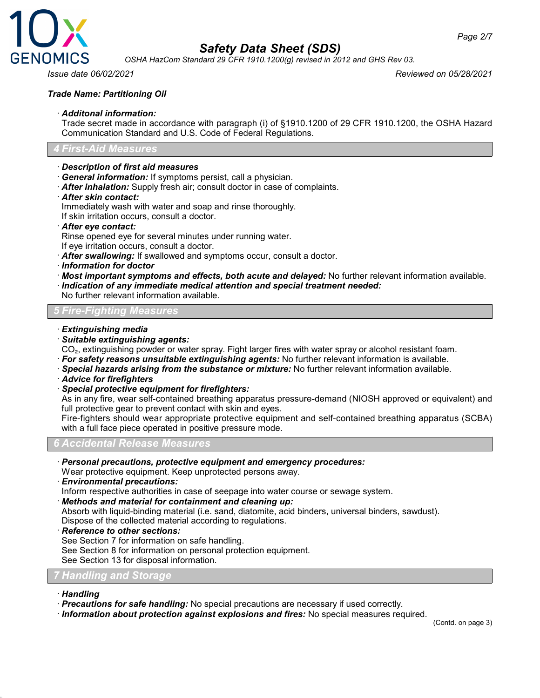

*OSHA HazCom Standard 29 CFR 1910.1200(g) revised in 2012 and GHS Rev 03.*

*Issue date 06/02/2021 Reviewed on 05/28/2021*

### *Trade Name: Partitioning Oil*

### · *Additonal information:*

Trade secret made in accordance with paragraph (i) of §1910.1200 of 29 CFR 1910.1200, the OSHA Hazard Communication Standard and U.S. Code of Federal Regulations.

### *4 First-Aid Measures*

### · *Description of first aid measures*

- · *General information:* If symptoms persist, call a physician.
- · *After inhalation:* Supply fresh air; consult doctor in case of complaints.
- · *After skin contact:*

Immediately wash with water and soap and rinse thoroughly.

If skin irritation occurs, consult a doctor.

### · *After eye contact:*

Rinse opened eye for several minutes under running water.

- If eye irritation occurs, consult a doctor.
- · *After swallowing:* If swallowed and symptoms occur, consult a doctor.
- · *Information for doctor*
- · *Most important symptoms and effects, both acute and delayed:* No further relevant information available.
- · *Indication of any immediate medical attention and special treatment needed:*

No further relevant information available.

### *5 Fire-Fighting Measures*

### · *Extinguishing media*

· *Suitable extinguishing agents:*

CO<sub>2</sub>, extinguishing powder or water spray. Fight larger fires with water spray or alcohol resistant foam.

· *For safety reasons unsuitable extinguishing agents:* No further relevant information is available.

- · *Special hazards arising from the substance or mixture:* No further relevant information available.
- · *Advice for firefighters*
- · *Special protective equipment for firefighters:*

As in any fire, wear self-contained breathing apparatus pressure-demand (NIOSH approved or equivalent) and full protective gear to prevent contact with skin and eyes.

Fire-fighters should wear appropriate protective equipment and self-contained breathing apparatus (SCBA) with a full face piece operated in positive pressure mode.

### *6 Accidental Release Measures*

· *Personal precautions, protective equipment and emergency procedures:*

Wear protective equipment. Keep unprotected persons away.

· *Environmental precautions:*

Inform respective authorities in case of seepage into water course or sewage system.

· *Methods and material for containment and cleaning up:*

Absorb with liquid-binding material (i.e. sand, diatomite, acid binders, universal binders, sawdust). Dispose of the collected material according to regulations.

· *Reference to other sections:*

See Section 7 for information on safe handling.

See Section 8 for information on personal protection equipment.

See Section 13 for disposal information.

### *7 Handling and Storage*

### · *Handling*

· *Precautions for safe handling:* No special precautions are necessary if used correctly.

· *Information about protection against explosions and fires:* No special measures required.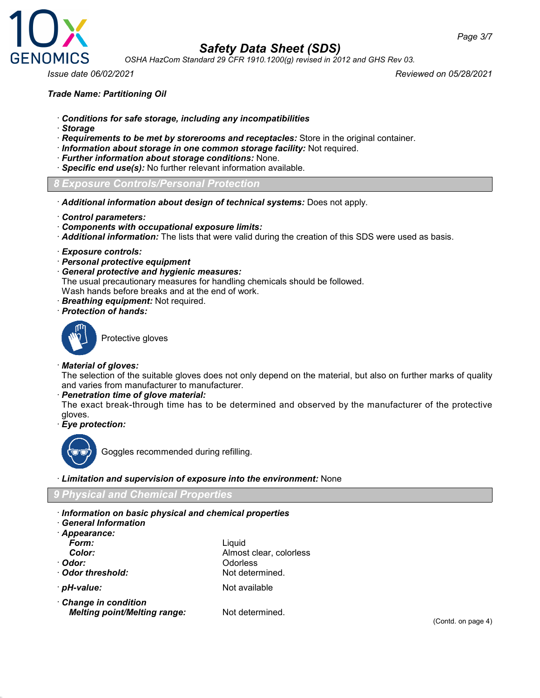



*OSHA HazCom Standard 29 CFR 1910.1200(g) revised in 2012 and GHS Rev 03.*

*Issue date 06/02/2021 Reviewed on 05/28/2021*

### *Trade Name: Partitioning Oil*

- · *Conditions for safe storage, including any incompatibilities*
- · *Storage*
- · *Requirements to be met by storerooms and receptacles:* Store in the original container.
- · *Information about storage in one common storage facility:* Not required.
- · *Further information about storage conditions:* None.
- · *Specific end use(s):* No further relevant information available.
- *8 Exposure Controls/Personal Protection*
- · *Additional information about design of technical systems:* Does not apply.
- · *Control parameters:*
- · *Components with occupational exposure limits:*
- · *Additional information:* The lists that were valid during the creation of this SDS were used as basis.
- · *Exposure controls:*
- · *Personal protective equipment*
- · *General protective and hygienic measures:*

The usual precautionary measures for handling chemicals should be followed.

Wash hands before breaks and at the end of work.

- · *Breathing equipment:* Not required.
- · *Protection of hands:*



Protective gloves

### · *Material of gloves:*

The selection of the suitable gloves does not only depend on the material, but also on further marks of quality and varies from manufacturer to manufacturer.

### · *Penetration time of glove material:*

The exact break-through time has to be determined and observed by the manufacturer of the protective gloves.

· *Eye protection:*



Goggles recommended during refilling.

· *Limitation and supervision of exposure into the environment:* None

### *9 Physical and Chemical Properties*

- · *Information on basic physical and chemical properties*
- · *General Information*

| Appearance:                                                |                         |
|------------------------------------------------------------|-------------------------|
| Form:                                                      | Liquid                  |
| Color:                                                     | Almost clear, colorless |
| ∙ Odor:                                                    | Odorless                |
| Odor threshold:                                            | Not determined.         |
| · <i>pH-value:</i>                                         | Not available           |
| Change in condition<br><b>Melting point/Melting range:</b> | Not determined.         |

(Contd. on page 4)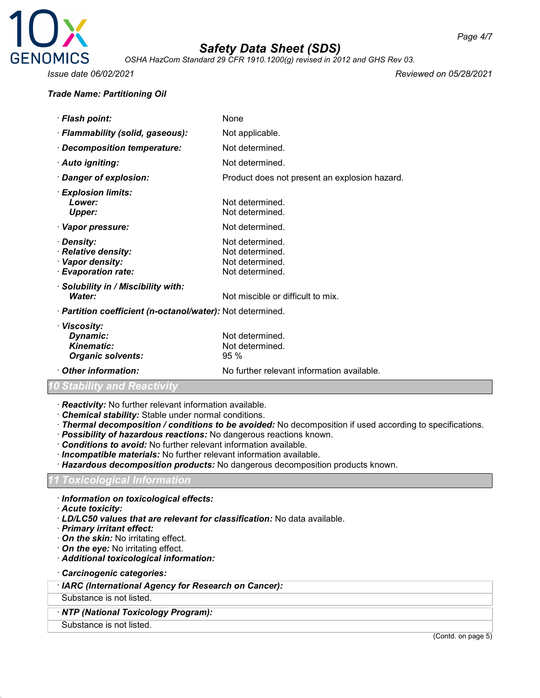

*OSHA HazCom Standard 29 CFR 1910.1200(g) revised in 2012 and GHS Rev 03.*

### *Trade Name: Partitioning Oil*

*Issue date 06/02/2021 Reviewed on 05/28/2021*

| · Flash point:                                                               | None                                                                     |
|------------------------------------------------------------------------------|--------------------------------------------------------------------------|
| · Flammability (solid, gaseous):                                             | Not applicable.                                                          |
| · Decomposition temperature:                                                 | Not determined.                                                          |
| · Auto igniting:                                                             | Not determined.                                                          |
| · Danger of explosion:                                                       | Product does not present an explosion hazard.                            |
| · Explosion limits:<br>Lower:<br><b>Upper:</b>                               | Not determined.<br>Not determined.                                       |
| · Vapor pressure:                                                            | Not determined.                                                          |
| · Density:<br>· Relative density:<br>· Vapor density:<br>· Evaporation rate: | Not determined.<br>Not determined.<br>Not determined.<br>Not determined. |
| · Solubility in / Miscibility with:<br>Water:                                | Not miscible or difficult to mix.                                        |
| · Partition coefficient (n-octanol/water): Not determined.                   |                                                                          |
| · Viscosity:<br>Dynamic:<br>Kinematic:<br><b>Organic solvents:</b>           | Not determined.<br>Not determined.<br>95%                                |
| Other information:                                                           | No further relevant information available.                               |

### *Stability and Reactivi*

- · *Reactivity:* No further relevant information available.
- · *Chemical stability:* Stable under normal conditions.
- · *Thermal decomposition / conditions to be avoided:* No decomposition if used according to specifications.
- · *Possibility of hazardous reactions:* No dangerous reactions known.
- · *Conditions to avoid:* No further relevant information available.
- · *Incompatible materials:* No further relevant information available.
- · *Hazardous decomposition products:* No dangerous decomposition products known.

### *11 Toxicological Information*

- · *Information on toxicological effects:*
- · *Acute toxicity:*
- · *LD/LC50 values that are relevant for classification:* No data available.
- · *Primary irritant effect:*
- · *On the skin:* No irritating effect.
- · *On the eye:* No irritating effect.
- · *Additional toxicological information:*
- · *Carcinogenic categories:*
- · *IARC (International Agency for Research on Cancer):*

### Substance is not listed.

- · *NTP (National Toxicology Program):*
- Substance is not listed.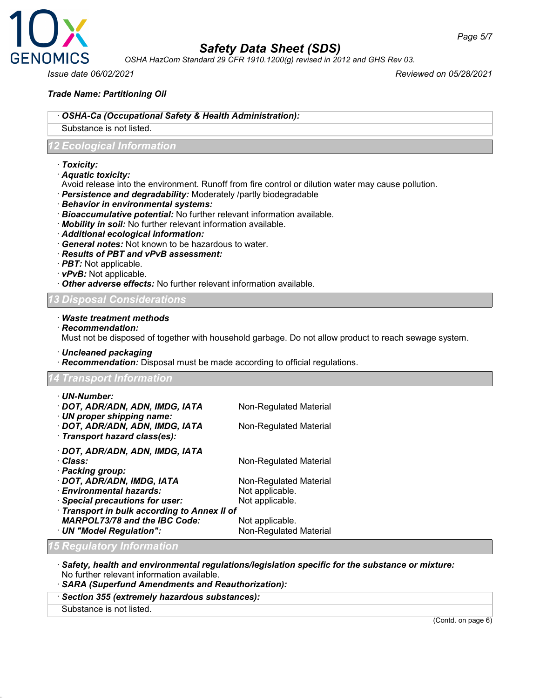

*OSHA HazCom Standard 29 CFR 1910.1200(g) revised in 2012 and GHS Rev 03.*

*Issue date 06/02/2021 Reviewed on 05/28/2021*

*Page 5/7*

### *Trade Name: Partitioning Oil*

### · *OSHA-Ca (Occupational Safety & Health Administration):*

### Substance is not listed.

### *12 Ecological Information*

· *Toxicity:*

### · *Aquatic toxicity:*

- Avoid release into the environment. Runoff from fire control or dilution water may cause pollution.
- · *Persistence and degradability:* Moderately /partly biodegradable
- · *Behavior in environmental systems:*
- · *Bioaccumulative potential:* No further relevant information available.
- · *Mobility in soil:* No further relevant information available.
- · *Additional ecological information:*
- · *General notes:* Not known to be hazardous to water.
- · *Results of PBT and vPvB assessment:*
- · *PBT:* Not applicable.
- · *vPvB:* Not applicable.
- · *Other adverse effects:* No further relevant information available.

### *13 Disposal Considerations*

- 
- · *Waste treatment methods*
- · *Recommendation:*

Must not be disposed of together with household garbage. Do not allow product to reach sewage system.

- · *Uncleaned packaging*
- · *Recommendation:* Disposal must be made according to official regulations.

### *14 Transport Information*

| · UN-Number:                                                     |                        |
|------------------------------------------------------------------|------------------------|
| · DOT, ADR/ADN, ADN, IMDG, IATA                                  | Non-Regulated Material |
| $\cdot$ UN proper shipping name:                                 |                        |
| · DOT, ADR/ADN, ADN, IMDG, IATA<br>· Transport hazard class(es): | Non-Regulated Material |
|                                                                  |                        |
| · DOT, ADR/ADN, ADN, IMDG, IATA                                  |                        |
| · Class:                                                         | Non-Regulated Material |
| · Packing group:                                                 |                        |
| · DOT, ADR/ADN, IMDG, IATA                                       | Non-Regulated Material |
| · Environmental hazards:                                         | Not applicable.        |
| · Special precautions for user:                                  | Not applicable.        |
| · Transport in bulk according to Annex II of                     |                        |
| <b>MARPOL73/78 and the IBC Code:</b>                             | Not applicable.        |
| · UN "Model Regulation":                                         | Non-Regulated Material |
| <b>15 Regulatory Information</b>                                 |                        |

- · *Safety, health and environmental regulations/legislation specific for the substance or mixture:* No further relevant information available.
- · *SARA (Superfund Amendments and Reauthorization):*
- · *Section 355 (extremely hazardous substances):*
- Substance is not listed.

(Contd. on page 6)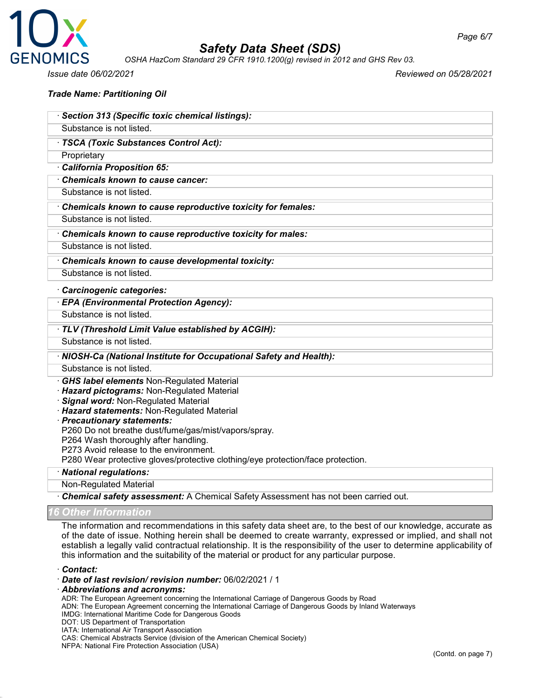

*OSHA HazCom Standard 29 CFR 1910.1200(g) revised in 2012 and GHS Rev 03.*

*Trade Name: Partitioning Oil*

· *Section 313 (Specific toxic chemical listings):*

*Issue date 06/02/2021 Reviewed on 05/28/2021*

| Substance is not listed.                                                         |
|----------------------------------------------------------------------------------|
| · TSCA (Toxic Substances Control Act):                                           |
| Proprietary                                                                      |
| California Proposition 65:                                                       |
| Chemicals known to cause cancer:                                                 |
| Substance is not listed.                                                         |
| Chemicals known to cause reproductive toxicity for females:                      |
| Substance is not listed.                                                         |
| Chemicals known to cause reproductive toxicity for males:                        |
| Substance is not listed.                                                         |
| Chemicals known to cause developmental toxicity:                                 |
| Substance is not listed.                                                         |
| Carcinogenic categories:                                                         |
| · EPA (Environmental Protection Agency):                                         |
| Substance is not listed.                                                         |
| · TLV (Threshold Limit Value established by ACGIH):                              |
| Substance is not listed.                                                         |
| · NIOSH-Ca (National Institute for Occupational Safety and Health):              |
| Substance is not listed.                                                         |
| <b>GHS label elements Non-Regulated Material</b>                                 |
| Hazard pictograms: Non-Regulated Material<br>Signal word: Non-Regulated Material |
| Hazard statements: Non-Regulated Material                                        |
| · Precautionary statements:                                                      |
| P260 Do not breathe dust/fume/gas/mist/vapors/spray.                             |
| P264 Wash thoroughly after handling.                                             |
| P273 Avoid release to the environment.                                           |
| P280 Wear protective gloves/protective clothing/eye protection/face protection.  |
| · National regulations:                                                          |
| <b>Non-Regulated Material</b>                                                    |

· *Chemical safety assessment:* A Chemical Safety Assessment has not been carried out.

*16 Other Information*

The information and recommendations in this safety data sheet are, to the best of our knowledge, accurate as of the date of issue. Nothing herein shall be deemed to create warranty, expressed or implied, and shall not establish a legally valid contractual relationship. It is the responsibility of the user to determine applicability of this information and the suitability of the material or product for any particular purpose.

· *Contact:*

- · *Date of last revision/ revision number:* 06/02/2021 / 1
- · *Abbreviations and acronyms:*

ADR: The European Agreement concerning the International Carriage of Dangerous Goods by Road

ADN: The European Agreement concerning the International Carriage of Dangerous Goods by Inland Waterways

- IMDG: International Maritime Code for Dangerous Goods
- DOT: US Department of Transportation
- IATA: International Air Transport Association

CAS: Chemical Abstracts Service (division of the American Chemical Society)

NFPA: National Fire Protection Association (USA)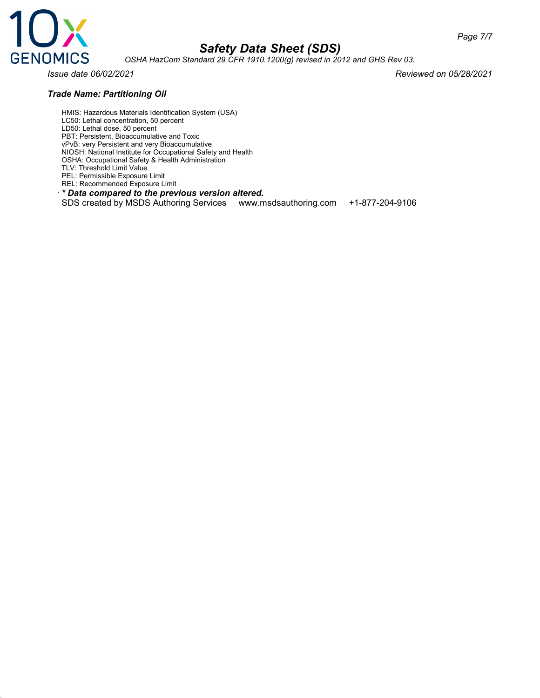

*OSHA HazCom Standard 29 CFR 1910.1200(g) revised in 2012 and GHS Rev 03.*

### *Trade Name: Partitioning Oil*

*Issue date 06/02/2021 Reviewed on 05/28/2021*

HMIS: Hazardous Materials Identification System (USA) LC50: Lethal concentration, 50 percent LD50: Lethal dose, 50 percent PBT: Persistent, Bioaccumulative and Toxic vPvB: very Persistent and very Bioaccumulative NIOSH: National Institute for Occupational Safety and Health OSHA: Occupational Safety & Health Administration TLV: Threshold Limit Value PEL: Permissible Exposure Limit

REL: Recommended Exposure Limit

· *\* Data compared to the previous version altered.*

SDS created by MSDS Authoring Services www.msdsauthoring.com +1-877-204-9106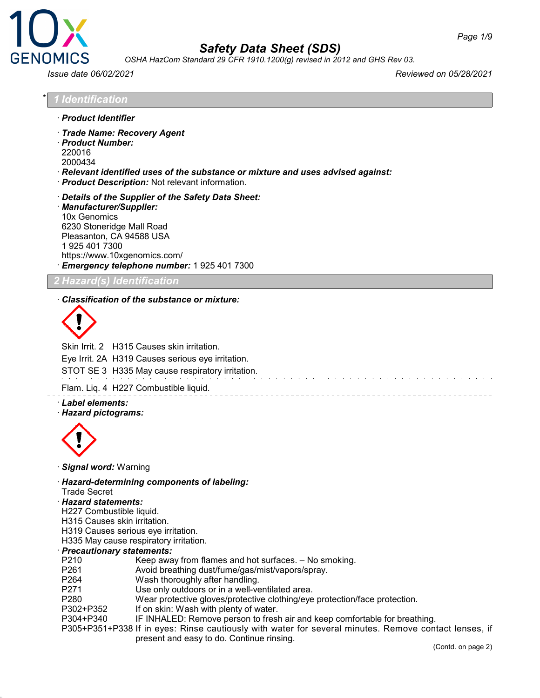

*OSHA HazCom Standard 29 CFR 1910.1200(g) revised in 2012 and GHS Rev 03.*

*Issue date 06/02/2021 Reviewed on 05/28/2021*

\* *1 Identification*

- · *Product Identifier*
- · *Trade Name: Recovery Agent*
- · *Product Number:* 220016
- 2000434
- · *Relevant identified uses of the substance or mixture and uses advised against:*
- · *Product Description:* Not relevant information.
- · *Details of the Supplier of the Safety Data Sheet:* · *Manufacturer/Supplier:* 10x Genomics 6230 Stoneridge Mall Road Pleasanton, CA 94588 USA 1 925 401 7300 https://www.10xgenomics.com/ · *Emergency telephone number:* 1 925 401 7300

### *2 Hazard(s) Identification*

### · *Classification of the substance or mixture:*



Skin Irrit. 2 H315 Causes skin irritation.

Eye Irrit. 2A H319 Causes serious eye irritation.

STOT SE 3 H335 May cause respiratory irritation.

Flam. Liq. 4 H227 Combustible liquid.

### · *Label elements:*

### · *Hazard pictograms:*



- · *Signal word:* Warning
- · *Hazard-determining components of labeling:*
- Trade Secret
- · *Hazard statements:*
- H227 Combustible liquid.
- H315 Causes skin irritation.
- H319 Causes serious eye irritation.
- H335 May cause respiratory irritation.

### · *Precautionary statements:*

- P210 Keep away from flames and hot surfaces. No smoking.
- P261 Avoid breathing dust/fume/gas/mist/vapors/spray.
- P264 Wash thoroughly after handling.
- P271 Use only outdoors or in a well-ventilated area.
- P280 Wear protective gloves/protective clothing/eye protection/face protection.
- P302+P352 If on skin: Wash with plenty of water.
- P304+P340 IF INHALED: Remove person to fresh air and keep comfortable for breathing.
- P305+P351+P338 If in eyes: Rinse cautiously with water for several minutes. Remove contact lenses, if present and easy to do. Continue rinsing.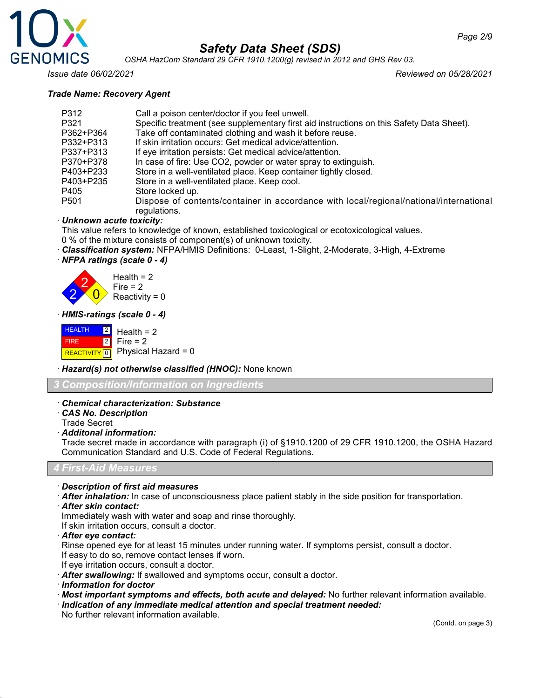

*OSHA HazCom Standard 29 CFR 1910.1200(g) revised in 2012 and GHS Rev 03.*

*Issue date 06/02/2021 Reviewed on 05/28/2021*

### *Trade Name: Recovery Agent*

| Call a poison center/doctor if you feel unwell.                                                        |
|--------------------------------------------------------------------------------------------------------|
| Specific treatment (see supplementary first aid instructions on this Safety Data Sheet).               |
| Take off contaminated clothing and wash it before reuse.                                               |
| If skin irritation occurs: Get medical advice/attention.                                               |
| If eye irritation persists: Get medical advice/attention.                                              |
| In case of fire: Use CO2, powder or water spray to extinguish.                                         |
| Store in a well-ventilated place. Keep container tightly closed.                                       |
| Store in a well-ventilated place. Keep cool.                                                           |
| Store locked up.                                                                                       |
| Dispose of contents/container in accordance with local/regional/national/international<br>regulations. |
|                                                                                                        |

### · *Unknown acute toxicity:*

This value refers to knowledge of known, established toxicological or ecotoxicological values.

- 0 % of the mixture consists of component(s) of unknown toxicity.
- · *Classification system:* NFPA/HMIS Definitions: 0-Least, 1-Slight, 2-Moderate, 3-High, 4-Extreme
- · *NFPA ratings (scale 0 4)*

2 2  $\overline{0}$ Health  $= 2$  $Fire = 2$ Reactivity =  $0$ 

· *HMIS-ratings (scale 0 - 4)*

**HEALTH**  FIRE REACTIVITY 0 2 2 Health  $= 2$ Fire  $= 2$ Physical Hazard = 0

· *Hazard(s) not otherwise classified (HNOC):* None known

*3 Composition/Information on Ingredients*

### · *Chemical characterization: Substance*

· *CAS No. Description*

Trade Secret

### · *Additonal information:*

Trade secret made in accordance with paragraph (i) of §1910.1200 of 29 CFR 1910.1200, the OSHA Hazard Communication Standard and U.S. Code of Federal Regulations.

*4 First-Aid Measures*

· *Description of first aid measures*

- · *After inhalation:* In case of unconsciousness place patient stably in the side position for transportation.
- · *After skin contact:*

Immediately wash with water and soap and rinse thoroughly.

If skin irritation occurs, consult a doctor.

· *After eye contact:*

Rinse opened eye for at least 15 minutes under running water. If symptoms persist, consult a doctor. If easy to do so, remove contact lenses if worn.

- If eye irritation occurs, consult a doctor.
- · *After swallowing:* If swallowed and symptoms occur, consult a doctor.
- · *Information for doctor*
- · *Most important symptoms and effects, both acute and delayed:* No further relevant information available.
- · *Indication of any immediate medical attention and special treatment needed:*
- No further relevant information available.

(Contd. on page 3)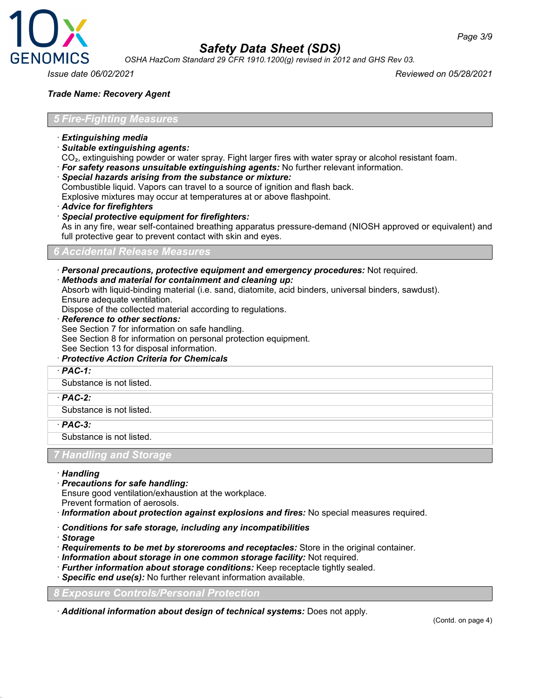

*OSHA HazCom Standard 29 CFR 1910.1200(g) revised in 2012 and GHS Rev 03.*

*Page 3/9*

### *Trade Name: Recovery Agent*

#### *5 Fire-Fighting Measures*

- · *Extinguishing media*
- · *Suitable extinguishing agents:*
- CO₂, extinguishing powder or water spray. Fight larger fires with water spray or alcohol resistant foam.
- · *For safety reasons unsuitable extinguishing agents:* No further relevant information.
- · *Special hazards arising from the substance or mixture:*

Combustible liquid. Vapors can travel to a source of ignition and flash back.

Explosive mixtures may occur at temperatures at or above flashpoint.

- · *Advice for firefighters*
- · *Special protective equipment for firefighters:*

As in any fire, wear self-contained breathing apparatus pressure-demand (NIOSH approved or equivalent) and full protective gear to prevent contact with skin and eyes.

#### *6 Accidental Release Measures*

· *Personal precautions, protective equipment and emergency procedures:* Not required.

· *Methods and material for containment and cleaning up:*

Absorb with liquid-binding material (i.e. sand, diatomite, acid binders, universal binders, sawdust). Ensure adequate ventilation.

Dispose of the collected material according to regulations.

· *Reference to other sections:*

See Section 7 for information on safe handling.

- See Section 8 for information on personal protection equipment.
- See Section 13 for disposal information.
- · *Protective Action Criteria for Chemicals*
- · *PAC-1:*

Substance is not listed.

· *PAC-2:*

Substance is not listed.

· *PAC-3:*

Substance is not listed.

### *Handling and Stora*

#### · *Handling*

· *Precautions for safe handling:*

Ensure good ventilation/exhaustion at the workplace.

Prevent formation of aerosols.

- · *Information about protection against explosions and fires:* No special measures required.
- · *Conditions for safe storage, including any incompatibilities*
- · *Storage*
- · *Requirements to be met by storerooms and receptacles:* Store in the original container.
- · *Information about storage in one common storage facility:* Not required.
- · *Further information about storage conditions:* Keep receptacle tightly sealed.
- · *Specific end use(s):* No further relevant information available.

*8 Exposure Controls/Personal Protection*

· *Additional information about design of technical systems:* Does not apply.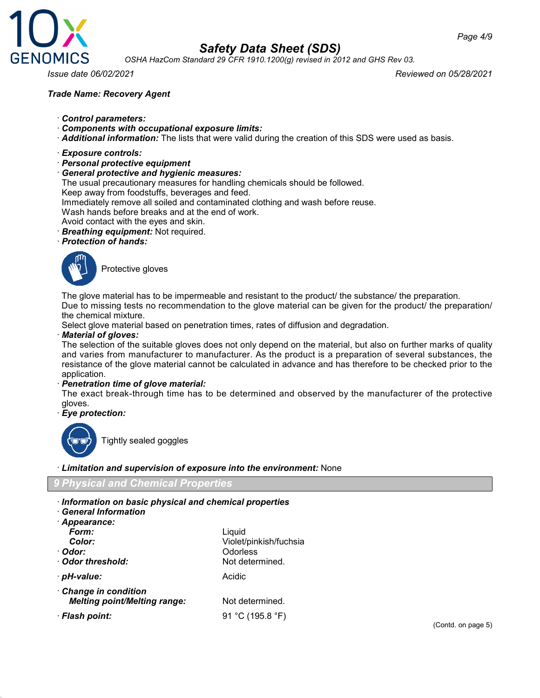

*OSHA HazCom Standard 29 CFR 1910.1200(g) revised in 2012 and GHS Rev 03.*

### *Trade Name: Recovery Agent*

*Issue date 06/02/2021 Reviewed on 05/28/2021*

### · *Control parameters:*

- · *Components with occupational exposure limits:*
- · *Additional information:* The lists that were valid during the creation of this SDS were used as basis.

#### · *Exposure controls:*

· *Personal protective equipment*

#### · *General protective and hygienic measures:*

The usual precautionary measures for handling chemicals should be followed.

Keep away from foodstuffs, beverages and feed.

Immediately remove all soiled and contaminated clothing and wash before reuse.

Wash hands before breaks and at the end of work.

Avoid contact with the eyes and skin.

· *Breathing equipment:* Not required.

### · *Protection of hands:*



Protective gloves

The glove material has to be impermeable and resistant to the product/ the substance/ the preparation.

Due to missing tests no recommendation to the glove material can be given for the product/ the preparation/ the chemical mixture.

Select glove material based on penetration times, rates of diffusion and degradation.

### · *Material of gloves:*

The selection of the suitable gloves does not only depend on the material, but also on further marks of quality and varies from manufacturer to manufacturer. As the product is a preparation of several substances, the resistance of the glove material cannot be calculated in advance and has therefore to be checked prior to the application.

#### · *Penetration time of glove material:*

The exact break-through time has to be determined and observed by the manufacturer of the protective gloves.

· *Eye protection:*



Tightly sealed goggles

#### · *Limitation and supervision of exposure into the environment:* None

### *9 Physical and Chemical Properties*

· *Information on basic physical and chemical properties*

| <b>General Information</b>          |                        |
|-------------------------------------|------------------------|
| Appearance:                         |                        |
| Form:                               | Liquid                 |
| Color:                              | Violet/pinkish/fuchsia |
| ∙ Odor:                             | Odorless               |
| Odor threshold:                     | Not determined.        |
| · <i>pH-value:</i>                  | Acidic                 |
| Change in condition                 |                        |
| <b>Melting point/Melting range:</b> | Not determined.        |
| · Flash point:                      | 91 °C (195.8 °F)       |
|                                     |                        |

(Contd. on page 5)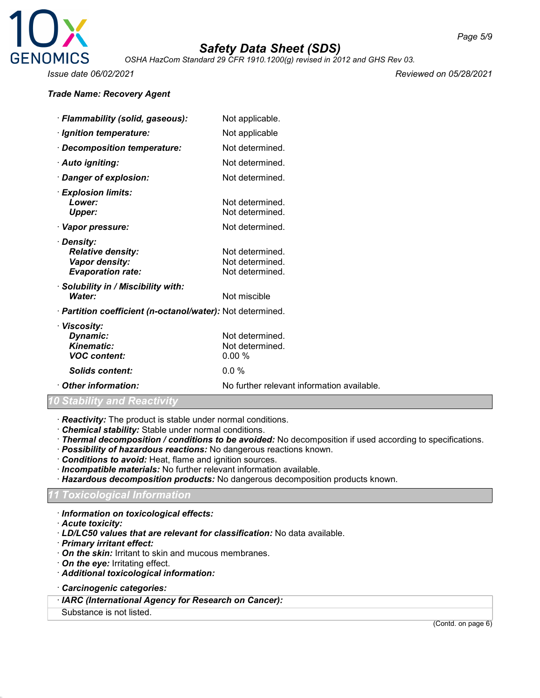

*OSHA HazCom Standard 29 CFR 1910.1200(g) revised in 2012 and GHS Rev 03.*

*Issue date 06/02/2021 Reviewed on 05/28/2021*

### *Trade Name: Recovery Agent*

| · Flammability (solid, gaseous):                                                     | Not applicable.                                       |
|--------------------------------------------------------------------------------------|-------------------------------------------------------|
| · Ignition temperature:                                                              | Not applicable                                        |
| · Decomposition temperature:                                                         | Not determined.                                       |
| · Auto igniting:                                                                     | Not determined.                                       |
| · Danger of explosion:                                                               | Not determined.                                       |
| $\cdot$ Explosion limits:<br>Lower:<br>Upper:                                        | Not determined.<br>Not determined.                    |
| · Vapor pressure:                                                                    | Not determined.                                       |
| · Density:<br><b>Relative density:</b><br>Vapor density:<br><b>Evaporation rate:</b> | Not determined.<br>Not determined.<br>Not determined. |
| Solubility in / Miscibility with:<br>Water:                                          | Not miscible                                          |
| · <b>Partition coefficient (n-octanol/water):</b> Not determined.                    |                                                       |

| · Viscosity:        |                                            |
|---------------------|--------------------------------------------|
| Dynamic:            | Not determined.                            |
| <b>Kinematic:</b>   | Not determined.                            |
| <b>VOC content:</b> | $0.00 \%$                                  |
| Solids content:     | $0.0\%$                                    |
| Other information:  | No further relevant information available. |
|                     |                                            |

### *Stability and Reactivity*

· *Reactivity:* The product is stable under normal conditions.

- · *Chemical stability:* Stable under normal conditions.
- · *Thermal decomposition / conditions to be avoided:* No decomposition if used according to specifications.
- · *Possibility of hazardous reactions:* No dangerous reactions known.
- · *Conditions to avoid:* Heat, flame and ignition sources.
- · *Incompatible materials:* No further relevant information available.
- · *Hazardous decomposition products:* No dangerous decomposition products known.

### *11 Toxicological Information*

- · *Information on toxicological effects:*
- · *Acute toxicity:*
- · *LD/LC50 values that are relevant for classification:* No data available.
- · *Primary irritant effect:*
- · *On the skin:* Irritant to skin and mucous membranes.
- · *On the eye:* Irritating effect.
- · *Additional toxicological information:*
- · *Carcinogenic categories:*
- · *IARC (International Agency for Research on Cancer):*
- Substance is not listed.

(Contd. on page 6)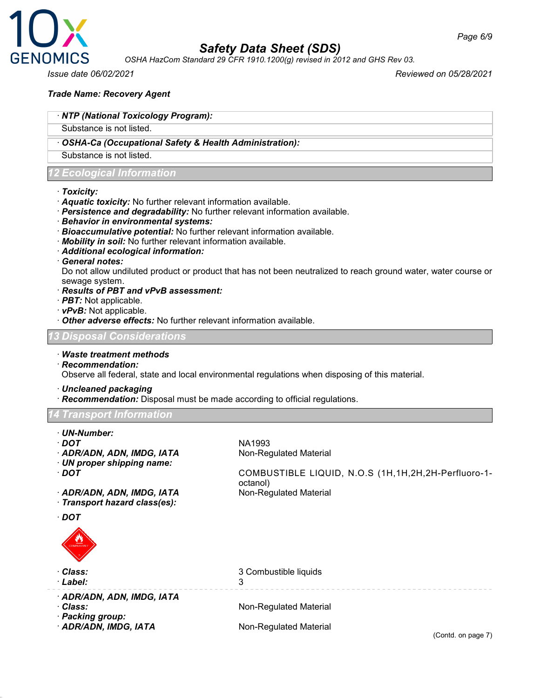

*OSHA HazCom Standard 29 CFR 1910.1200(g) revised in 2012 and GHS Rev 03.*

*Issue date 06/02/2021 Reviewed on 05/28/2021*

### *Trade Name: Recovery Agent*

### · *NTP (National Toxicology Program):*

Substance is not listed.

### · *OSHA-Ca (Occupational Safety & Health Administration):*

Substance is not listed.

### *<u>Ecological</u> Information*

#### · *Toxicity:*

- · *Aquatic toxicity:* No further relevant information available.
- · *Persistence and degradability:* No further relevant information available.
- · *Behavior in environmental systems:*
- · *Bioaccumulative potential:* No further relevant information available.
- · *Mobility in soil:* No further relevant information available.
- · *Additional ecological information:*

#### · *General notes:*

Do not allow undiluted product or product that has not been neutralized to reach ground water, water course or sewage system.

### · *Results of PBT and vPvB assessment:*

- · *PBT:* Not applicable.
- · *vPvB:* Not applicable.
- · *Other adverse effects:* No further relevant information available.

### *13 Disposal Considerations*

· *Waste treatment methods*

· *Recommendation:*

Observe all federal, state and local environmental regulations when disposing of this material.

· *Uncleaned packaging*

· *Recommendation:* Disposal must be made according to official regulations.

#### *Transport Information*

- · *UN-Number:*
- 
- · **ADR/ADN, ADN, IMDG, IATA** Non-Regulated Material
- · *UN proper shipping name:*
- 
- 

· *DOT* NA1993

· *DOT* COMBUSTIBLE LIQUID, N.O.S (1H,1H,2H,2H-Perfluoro-1 octanol)<br>Non-Regulated Material

- · *ADR/ADN, ADN, IMDG, IATA*
- · *Transport hazard class(es):*
- · *DOT*



| · Class:<br>· Label:                   | 3 Combustible liquids  |
|----------------------------------------|------------------------|
| · ADR/ADN, ADN, IMDG, IATA<br>· Class: | Non-Regulated Material |
| · Packing group:                       |                        |
| · ADR/ADN, IMDG, IATA                  | Non-Regulated Material |

(Contd. on page 7)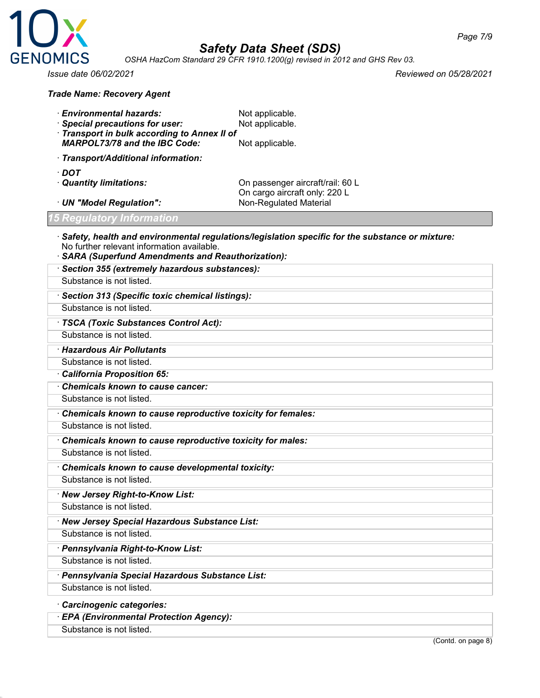

*Page 7/9*

*OSHA HazCom Standard 29 CFR 1910.1200(g) revised in 2012 and GHS Rev 03.*

*Issue date 06/02/2021 Reviewed on 05/28/2021*

#### *Trade Name: Recovery Agent*

- **Environmental hazards:** Not applicable.
- **Special precautions for user:** Not applicable.
- · *Transport in bulk according to Annex II of MARPOL73/78 and the IBC Code:* Not applicable.

· *Transport/Additional information:*

- · *DOT*
- 

· *Quantity limitations:* On passenger aircraft/rail: 60 L On cargo aircraft only: 220 L<br>Non-Regulated Material

### *15 Regulatory Information*

· UN "Model Regulation":

- · *Safety, health and environmental regulations/legislation specific for the substance or mixture:* No further relevant information available.
- · *SARA (Superfund Amendments and Reauthorization):* · *Section 355 (extremely hazardous substances):* Substance is not listed. · *Section 313 (Specific toxic chemical listings):* Substance is not listed. · *TSCA (Toxic Substances Control Act):* Substance is not listed. · *Hazardous Air Pollutants* Substance is not listed. · *California Proposition 65:* · *Chemicals known to cause cancer:* Substance is not listed. · *Chemicals known to cause reproductive toxicity for females:* Substance is not listed. · *Chemicals known to cause reproductive toxicity for males:* Substance is not listed. · *Chemicals known to cause developmental toxicity:* Substance is not listed. · *New Jersey Right-to-Know List:* Substance is not listed. · *New Jersey Special Hazardous Substance List:* Substance is not listed. · *Pennsylvania Right-to-Know List:* Substance is not listed. · *Pennsylvania Special Hazardous Substance List:*

Substance is not listed.

· *Carcinogenic categories:*

· *EPA (Environmental Protection Agency):*

Substance is not listed.

(Contd. on page 8)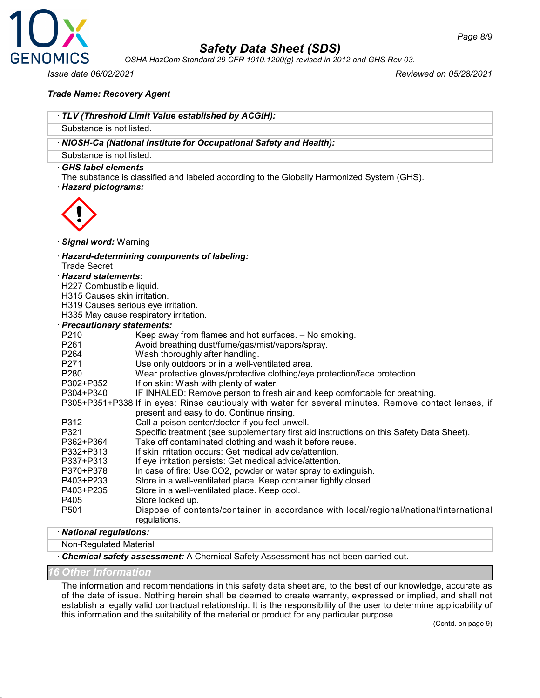

*OSHA HazCom Standard 29 CFR 1910.1200(g) revised in 2012 and GHS Rev 03.*

*Issue date 06/02/2021 Reviewed on 05/28/2021*

*Page 8/9*

### *Trade Name: Recovery Agent*

|                                  | TLV (Threshold Limit Value established by ACGIH):                                                     |
|----------------------------------|-------------------------------------------------------------------------------------------------------|
| Substance is not listed.         |                                                                                                       |
|                                  | · NIOSH-Ca (National Institute for Occupational Safety and Health):                                   |
| Substance is not listed.         |                                                                                                       |
| · GHS label elements             |                                                                                                       |
|                                  | The substance is classified and labeled according to the Globally Harmonized System (GHS).            |
| · Hazard pictograms:             |                                                                                                       |
|                                  |                                                                                                       |
|                                  |                                                                                                       |
|                                  |                                                                                                       |
| Signal word: Warning             |                                                                                                       |
|                                  | · Hazard-determining components of labeling:                                                          |
| <b>Trade Secret</b>              |                                                                                                       |
| · Hazard statements:             |                                                                                                       |
| H227 Combustible liquid.         |                                                                                                       |
| H315 Causes skin irritation.     |                                                                                                       |
|                                  | H319 Causes serious eye irritation.                                                                   |
|                                  | H335 May cause respiratory irritation.                                                                |
| <b>Precautionary statements:</b> |                                                                                                       |
| P210                             | Keep away from flames and hot surfaces. - No smoking.                                                 |
| P261                             | Avoid breathing dust/fume/gas/mist/vapors/spray.                                                      |
| P264                             | Wash thoroughly after handling.                                                                       |
| P271                             | Use only outdoors or in a well-ventilated area.                                                       |
| P280                             | Wear protective gloves/protective clothing/eye protection/face protection.                            |
| P302+P352                        | If on skin: Wash with plenty of water.                                                                |
| P304+P340                        | IF INHALED: Remove person to fresh air and keep comfortable for breathing.                            |
|                                  | P305+P351+P338 If in eyes: Rinse cautiously with water for several minutes. Remove contact lenses, if |
|                                  | present and easy to do. Continue rinsing.                                                             |
| P312                             | Call a poison center/doctor if you feel unwell.                                                       |
| P321                             | Specific treatment (see supplementary first aid instructions on this Safety Data Sheet).              |
| P362+P364                        | Take off contaminated clothing and wash it before reuse.                                              |
| P332+P313                        | If skin irritation occurs: Get medical advice/attention.                                              |
| P337+P313                        | If eye irritation persists: Get medical advice/attention.                                             |
| P370+P378                        | In case of fire: Use CO2, powder or water spray to extinguish.                                        |
| P403+P233                        | Store in a well-ventilated place. Keep container tightly closed.                                      |
| P403+P235                        | Store in a well-ventilated place. Keep cool.                                                          |
| P405                             | Store locked up.                                                                                      |
| P501                             | Dispose of contents/container in accordance with local/regional/national/international                |
|                                  | regulations.                                                                                          |
|                                  |                                                                                                       |

### · *National regulations:*

Non-Regulated Material

· *Chemical safety assessment:* A Chemical Safety Assessment has not been carried out.

### *16 Other Information*

The information and recommendations in this safety data sheet are, to the best of our knowledge, accurate as of the date of issue. Nothing herein shall be deemed to create warranty, expressed or implied, and shall not establish a legally valid contractual relationship. It is the responsibility of the user to determine applicability of this information and the suitability of the material or product for any particular purpose.